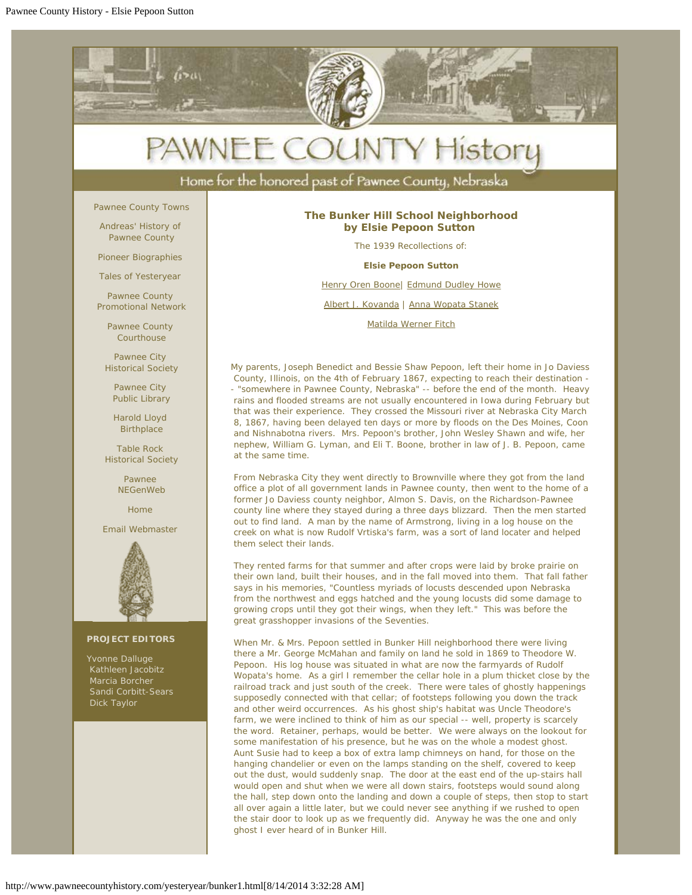

 out the dust, would suddenly snap. The door at the east end of the up-stairs hall would open and shut when we were all down stairs, footsteps would sound along the hall, step down onto the landing and down a couple of steps, then stop to start all over again a little later, but we could never see anything if we rushed to open the stair door to look up as we frequently did. Anyway he was the one and only ghost I ever heard of in Bunker Hill.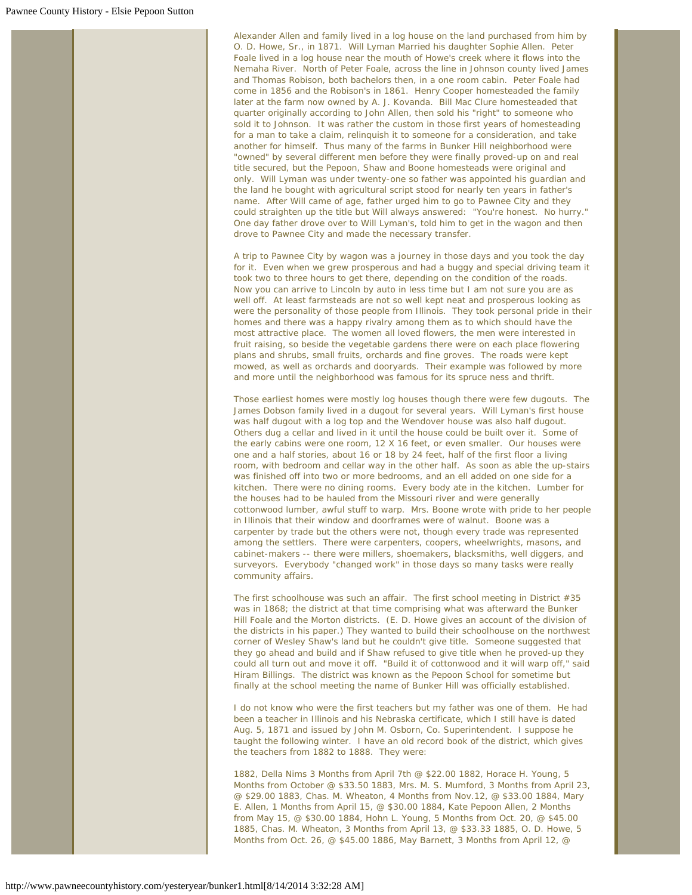Alexander Allen and family lived in a log house on the land purchased from him by O. D. Howe, Sr., in 1871. Will Lyman Married his daughter Sophie Allen. Peter Foale lived in a log house near the mouth of Howe's creek where it flows into the Nemaha River. North of Peter Foale, across the line in Johnson county lived James and Thomas Robison, both bachelors then, in a one room cabin. Peter Foale had come in 1856 and the Robison's in 1861. Henry Cooper homesteaded the family later at the farm now owned by A. J. Kovanda. Bill Mac Clure homesteaded that quarter originally according to John Allen, then sold his "right" to someone who sold it to Johnson. It was rather the custom in those first years of homesteading for a man to take a claim, relinquish it to someone for a consideration, and take another for himself. Thus many of the farms in Bunker Hill neighborhood were "owned" by several different men before they were finally proved-up on and real title secured, but the Pepoon, Shaw and Boone homesteads were original and only. Will Lyman was under twenty-one so father was appointed his guardian and the land he bought with agricultural script stood for nearly ten years in father's name. After Will came of age, father urged him to go to Pawnee City and they could straighten up the title but Will always answered: "You're honest. No hurry." One day father drove over to Will Lyman's, told him to get in the wagon and then drove to Pawnee City and made the necessary transfer.

A trip to Pawnee City by wagon was a journey in those days and you took the day for it. Even when we grew prosperous and had a buggy and special driving team it took two to three hours to get there, depending on the condition of the roads. Now you can arrive to Lincoln by auto in less time but I am not sure you are as well off. At least farmsteads are not so well kept neat and prosperous looking as were the personality of those people from Illinois. They took personal pride in their homes and there was a happy rivalry among them as to which should have the most attractive place. The women all loved flowers, the men were interested in fruit raising, so beside the vegetable gardens there were on each place flowering plans and shrubs, small fruits, orchards and fine groves. The roads were kept mowed, as well as orchards and dooryards. Their example was followed by more and more until the neighborhood was famous for its spruce ness and thrift.

Those earliest homes were mostly log houses though there were few dugouts. The James Dobson family lived in a dugout for several years. Will Lyman's first house was half dugout with a log top and the Wendover house was also half dugout. Others dug a cellar and lived in it until the house could be built over it. Some of the early cabins were one room, 12 X 16 feet, or even smaller. Our houses were one and a half stories, about 16 or 18 by 24 feet, half of the first floor a living room, with bedroom and cellar way in the other half. As soon as able the up-stairs was finished off into two or more bedrooms, and an ell added on one side for a kitchen. There were no dining rooms. Every body ate in the kitchen. Lumber for the houses had to be hauled from the Missouri river and were generally cottonwood lumber, awful stuff to warp. Mrs. Boone wrote with pride to her people in Illinois that their window and doorframes were of walnut. Boone was a carpenter by trade but the others were not, though every trade was represented among the settlers. There were carpenters, coopers, wheelwrights, masons, and cabinet-makers -- there were millers, shoemakers, blacksmiths, well diggers, and surveyors. Everybody "changed work" in those days so many tasks were really community affairs.

The first schoolhouse was such an affair. The first school meeting in District #35 was in 1868; the district at that time comprising what was afterward the Bunker Hill Foale and the Morton districts. (E. D. Howe gives an account of the division of the districts in his paper.) They wanted to build their schoolhouse on the northwest corner of Wesley Shaw's land but he couldn't give title. Someone suggested that they go ahead and build and if Shaw refused to give title when he proved-up they could all turn out and move it off. "Build it of cottonwood and it will warp off," said Hiram Billings. The district was known as the Pepoon School for sometime but finally at the school meeting the name of Bunker Hill was officially established.

I do not know who were the first teachers but my father was one of them. He had been a teacher in Illinois and his Nebraska certificate, which I still have is dated Aug. 5, 1871 and issued by John M. Osborn, Co. Superintendent. I suppose he taught the following winter. I have an old record book of the district, which gives the teachers from 1882 to 1888. They were:

1882, Della Nims 3 Months from April 7th @ \$22.00 1882, Horace H. Young, 5 Months from October @ \$33.50 1883, Mrs. M. S. Mumford, 3 Months from April 23, @ \$29.00 1883, Chas. M. Wheaton, 4 Months from Nov.12, @ \$33.00 1884, Mary E. Allen, 1 Months from April 15, @ \$30.00 1884, Kate Pepoon Allen, 2 Months from May 15, @ \$30.00 1884, Hohn L. Young, 5 Months from Oct. 20, @ \$45.00 1885, Chas. M. Wheaton, 3 Months from April 13, @ \$33.33 1885, O. D. Howe, 5 Months from Oct. 26, @ \$45.00 1886, May Barnett, 3 Months from April 12, @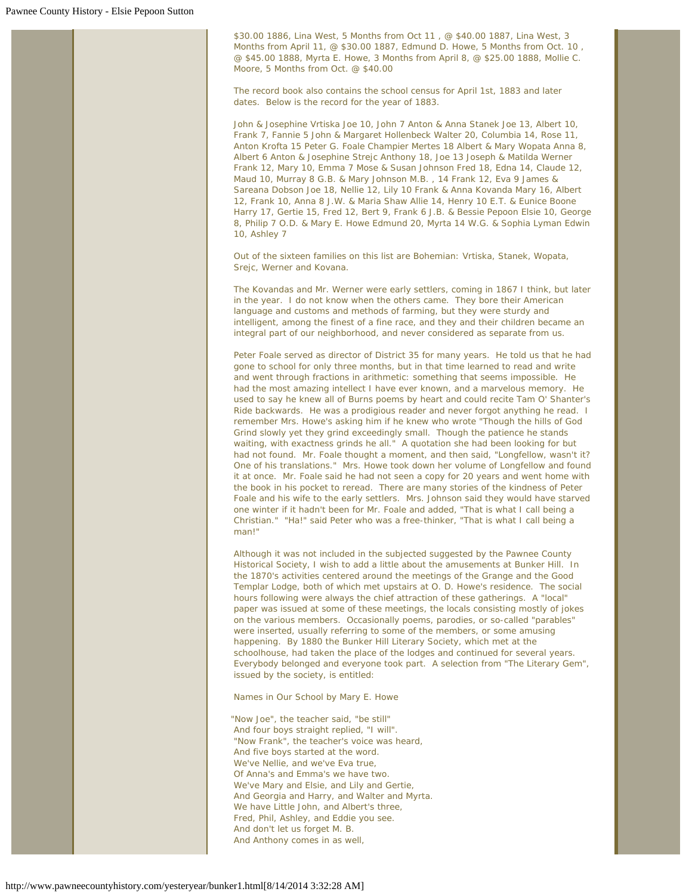\$30.00 1886, Lina West, 5 Months from Oct 11 , @ \$40.00 1887, Lina West, 3 Months from April 11, @ \$30.00 1887, Edmund D. Howe, 5 Months from Oct. 10 , @ \$45.00 1888, Myrta E. Howe, 3 Months from April 8, @ \$25.00 1888, Mollie C. Moore, 5 Months from Oct. @ \$40.00

The record book also contains the school census for April 1st, 1883 and later dates. Below is the record for the year of 1883.

John & Josephine Vrtiska Joe 10, John 7 Anton & Anna Stanek Joe 13, Albert 10, Frank 7, Fannie 5 John & Margaret Hollenbeck Walter 20, Columbia 14, Rose 11, Anton Krofta 15 Peter G. Foale Champier Mertes 18 Albert & Mary Wopata Anna 8, Albert 6 Anton & Josephine Strejc Anthony 18, Joe 13 Joseph & Matilda Werner Frank 12, Mary 10, Emma 7 Mose & Susan Johnson Fred 18, Edna 14, Claude 12, Maud 10, Murray 8 G.B. & Mary Johnson M.B. , 14 Frank 12, Eva 9 James & Sareana Dobson Joe 18, Nellie 12, Lily 10 Frank & Anna Kovanda Mary 16, Albert 12, Frank 10, Anna 8 J.W. & Maria Shaw Allie 14, Henry 10 E.T. & Eunice Boone Harry 17, Gertie 15, Fred 12, Bert 9, Frank 6 J.B. & Bessie Pepoon Elsie 10, George 8, Philip 7 O.D. & Mary E. Howe Edmund 20, Myrta 14 W.G. & Sophia Lyman Edwin 10, Ashley 7

Out of the sixteen families on this list are Bohemian: Vrtiska, Stanek, Wopata, Srejc, Werner and Kovana.

The Kovandas and Mr. Werner were early settlers, coming in 1867 I think, but later in the year. I do not know when the others came. They bore their American language and customs and methods of farming, but they were sturdy and intelligent, among the finest of a fine race, and they and their children became an integral part of our neighborhood, and never considered as separate from us.

Peter Foale served as director of District 35 for many years. He told us that he had gone to school for only three months, but in that time learned to read and write and went through fractions in arithmetic: something that seems impossible. He had the most amazing intellect I have ever known, and a marvelous memory. He used to say he knew all of Burns poems by heart and could recite Tam O' Shanter's Ride backwards. He was a prodigious reader and never forgot anything he read. I remember Mrs. Howe's asking him if he knew who wrote "Though the hills of God Grind slowly yet they grind exceedingly small. Though the patience he stands waiting, with exactness grinds he all." A quotation she had been looking for but had not found. Mr. Foale thought a moment, and then said, "Longfellow, wasn't it? One of his translations." Mrs. Howe took down her volume of Longfellow and found it at once. Mr. Foale said he had not seen a copy for 20 years and went home with the book in his pocket to reread. There are many stories of the kindness of Peter Foale and his wife to the early settlers. Mrs. Johnson said they would have starved one winter if it hadn't been for Mr. Foale and added, "That is what I call being a Christian." "Ha!" said Peter who was a free-thinker, "That is what I call being a man!"

Although it was not included in the subjected suggested by the Pawnee County Historical Society, I wish to add a little about the amusements at Bunker Hill. In the 1870's activities centered around the meetings of the Grange and the Good Templar Lodge, both of which met upstairs at O. D. Howe's residence. The social hours following were always the chief attraction of these gatherings. A "local" paper was issued at some of these meetings, the locals consisting mostly of jokes on the various members. Occasionally poems, parodies, or so-called "parables" were inserted, usually referring to some of the members, or some amusing happening. By 1880 the Bunker Hill Literary Society, which met at the schoolhouse, had taken the place of the lodges and continued for several years. Everybody belonged and everyone took part. A selection from "The Literary Gem", issued by the society, is entitled:

Names in Our School by Mary E. Howe

*"Now Joe", the teacher said, "be still" And four boys straight replied, "I will". "Now Frank", the teacher's voice was heard, And five boys started at the word. We've Nellie, and we've Eva true, Of Anna's and Emma's we have two. We've Mary and Elsie, and Lily and Gertie, And Georgia and Harry, and Walter and Myrta. We have Little John, and Albert's three, Fred, Phil, Ashley, and Eddie you see. And don't let us forget M. B. And Anthony comes in as well,*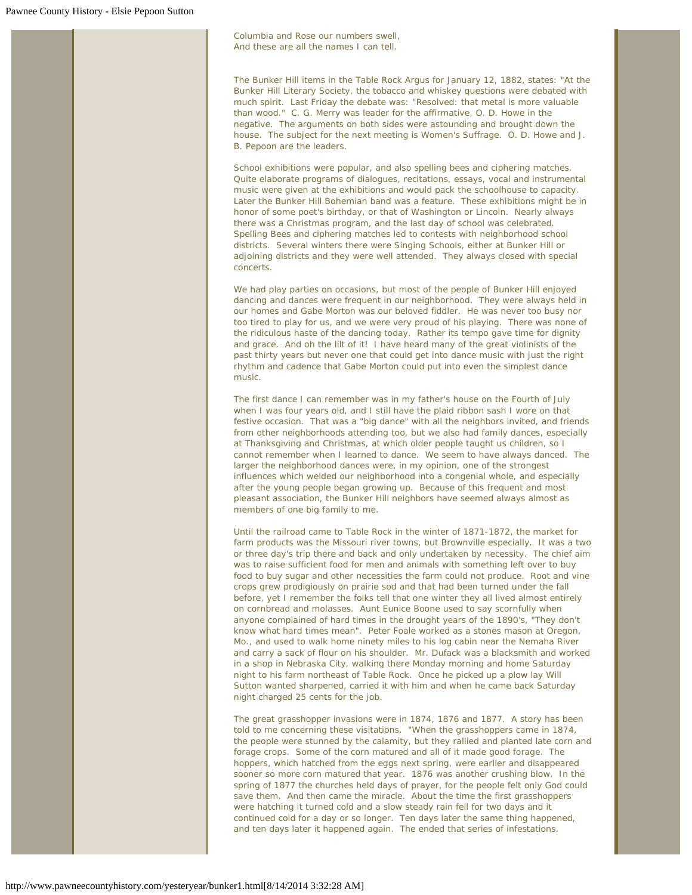*Columbia and Rose our numbers swell, And these are all the names I can tell.*

The Bunker Hill items in the Table Rock Argus for January 12, 1882, states: "At the Bunker Hill Literary Society, the tobacco and whiskey questions were debated with much spirit. Last Friday the debate was: "Resolved: that metal is more valuable than wood." C. G. Merry was leader for the affirmative, O. D. Howe in the negative. The arguments on both sides were astounding and brought down the house. The subject for the next meeting is Women's Suffrage. O. D. Howe and J. B. Pepoon are the leaders.

School exhibitions were popular, and also spelling bees and ciphering matches. Quite elaborate programs of dialogues, recitations, essays, vocal and instrumental music were given at the exhibitions and would pack the schoolhouse to capacity. Later the Bunker Hill Bohemian band was a feature. These exhibitions might be in honor of some poet's birthday, or that of Washington or Lincoln. Nearly always there was a Christmas program, and the last day of school was celebrated. Spelling Bees and ciphering matches led to contests with neighborhood school districts. Several winters there were Singing Schools, either at Bunker Hill or adjoining districts and they were well attended. They always closed with special concerts.

We had play parties on occasions, but most of the people of Bunker Hill enjoyed dancing and dances were frequent in our neighborhood. They were always held in our homes and Gabe Morton was our beloved fiddler. He was never too busy nor too tired to play for us, and we were very proud of his playing. There was none of the ridiculous haste of the dancing today. Rather its tempo gave time for dignity and grace. And oh the lilt of it! I have heard many of the great violinists of the past thirty years but never one that could get into dance music with just the right rhythm and cadence that Gabe Morton could put into even the simplest dance music.

The first dance I can remember was in my father's house on the Fourth of July when I was four years old, and I still have the plaid ribbon sash I wore on that festive occasion. That was a "big dance" with all the neighbors invited, and friends from other neighborhoods attending too, but we also had family dances, especially at Thanksgiving and Christmas, at which older people taught us children, so I cannot remember when I learned to dance. We seem to have always danced. The larger the neighborhood dances were, in my opinion, one of the strongest influences which welded our neighborhood into a congenial whole, and especially after the young people began growing up. Because of this frequent and most pleasant association, the Bunker Hill neighbors have seemed always almost as members of one big family to me.

Until the railroad came to Table Rock in the winter of 1871-1872, the market for farm products was the Missouri river towns, but Brownville especially. It was a two or three day's trip there and back and only undertaken by necessity. The chief aim was to raise sufficient food for men and animals with something left over to buy food to buy sugar and other necessities the farm could not produce. Root and vine crops grew prodigiously on prairie sod and that had been turned under the fall before, yet I remember the folks tell that one winter they all lived almost entirely on cornbread and molasses. Aunt Eunice Boone used to say scornfully when anyone complained of hard times in the drought years of the 1890's, "They don't know what hard times mean". Peter Foale worked as a stones mason at Oregon, Mo., and used to walk home ninety miles to his log cabin near the Nemaha River and carry a sack of flour on his shoulder. Mr. Dufack was a blacksmith and worked in a shop in Nebraska City, walking there Monday morning and home Saturday night to his farm northeast of Table Rock. Once he picked up a plow lay Will Sutton wanted sharpened, carried it with him and when he came back Saturday night charged 25 cents for the job.

The great grasshopper invasions were in 1874, 1876 and 1877. A story has been told to me concerning these visitations. "When the grasshoppers came in 1874, the people were stunned by the calamity, but they rallied and planted late corn and forage crops. Some of the corn matured and all of it made good forage. The hoppers, which hatched from the eggs next spring, were earlier and disappeared sooner so more corn matured that year. 1876 was another crushing blow. In the spring of 1877 the churches held days of prayer, for the people felt only God could save them. And then came the miracle. About the time the first grasshoppers were hatching it turned cold and a slow steady rain fell for two days and it continued cold for a day or so longer. Ten days later the same thing happened, and ten days later it happened again. The ended that series of infestations.